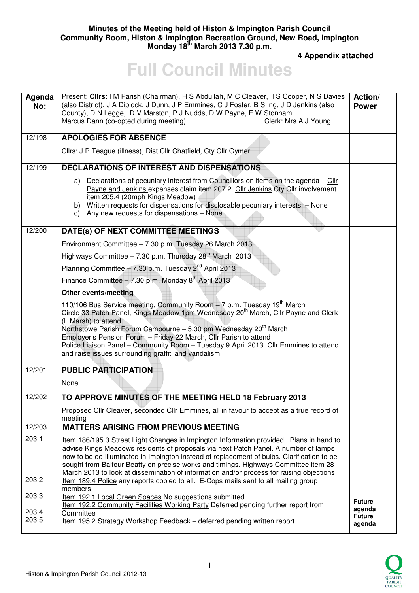## **Minutes of the Meeting held of Histon & Impington Parish Council Community Room, Histon & Impington Recreation Ground, New Road, Impington Monday 18th March 2013 7.30 p.m.**

 **4 Appendix attached** 

## **Full Council Minutes**

| Agenda<br>No:  | Present: Clirs: I M Parish (Chairman), H S Abdullah, M C Cleaver, I S Cooper, N S Davies<br>(also District), J A Diplock, J Dunn, J P Emmines, C J Foster, B S Ing, J D Jenkins (also<br>County), D N Legge, D V Marston, P J Nudds, D W Payne, E W Stonham<br>Marcus Dann (co-opted during meeting)<br>Clerk: Mrs A J Young                                                                                                                                                                                     | Action/<br><b>Power</b>           |
|----------------|------------------------------------------------------------------------------------------------------------------------------------------------------------------------------------------------------------------------------------------------------------------------------------------------------------------------------------------------------------------------------------------------------------------------------------------------------------------------------------------------------------------|-----------------------------------|
| 12/198         | <b>APOLOGIES FOR ABSENCE</b>                                                                                                                                                                                                                                                                                                                                                                                                                                                                                     |                                   |
|                | Cllrs: J P Teague (illness), Dist Cllr Chatfield, Cty Cllr Gymer                                                                                                                                                                                                                                                                                                                                                                                                                                                 |                                   |
| 12/199         | <b>DECLARATIONS OF INTEREST AND DISPENSATIONS</b>                                                                                                                                                                                                                                                                                                                                                                                                                                                                |                                   |
|                | a) Declarations of pecuniary interest from Councillors on items on the agenda - Cllr<br>Payne and Jenkins expenses claim item 207.2. Cllr Jenkins Cty Cllr involvement<br>item 205.4 (20mph Kings Meadow)<br>b) Written requests for dispensations for disclosable pecuniary interests - None<br>c) Any new requests for dispensations - None                                                                                                                                                                    |                                   |
| 12/200         | DATE(s) OF NEXT COMMITTEE MEETINGS                                                                                                                                                                                                                                                                                                                                                                                                                                                                               |                                   |
|                | Environment Committee - 7.30 p.m. Tuesday 26 March 2013                                                                                                                                                                                                                                                                                                                                                                                                                                                          |                                   |
|                | Highways Committee $-7.30$ p.m. Thursday $28th$ March 2013                                                                                                                                                                                                                                                                                                                                                                                                                                                       |                                   |
|                | Planning Committee $-7.30$ p.m. Tuesday $2^{nd}$ April 2013                                                                                                                                                                                                                                                                                                                                                                                                                                                      |                                   |
|                | Finance Committee - 7.30 p.m. Monday $8^{th}$ April 2013                                                                                                                                                                                                                                                                                                                                                                                                                                                         |                                   |
|                | <b>Other events/meeting</b>                                                                                                                                                                                                                                                                                                                                                                                                                                                                                      |                                   |
|                | 110/106 Bus Service meeting, Community Room - 7 p.m. Tuesday 19 <sup>th</sup> March<br>Circle 33 Patch Panel, Kings Meadow 1pm Wednesday 20 <sup>th</sup> March, Cllr Payne and Clerk<br>(L Marsh) to attend<br>Northstowe Parish Forum Cambourne - 5.30 pm Wednesday 20 <sup>th</sup> March<br>Employer's Pension Forum - Friday 22 March, Cllr Parish to attend<br>Police Liaison Panel - Community Room - Tuesday 9 April 2013. Cllr Emmines to attend<br>and raise issues surrounding graffiti and vandalism |                                   |
| 12/201         | <b>PUBLIC PARTICIPATION</b>                                                                                                                                                                                                                                                                                                                                                                                                                                                                                      |                                   |
|                | None                                                                                                                                                                                                                                                                                                                                                                                                                                                                                                             |                                   |
| 12/202         | TO APPROVE MINUTES OF THE MEETING HELD 18 February 2013                                                                                                                                                                                                                                                                                                                                                                                                                                                          |                                   |
|                | Proposed Cllr Cleaver, seconded Cllr Emmines, all in favour to accept as a true record of<br>meeting                                                                                                                                                                                                                                                                                                                                                                                                             |                                   |
| 12/203         | <b>MATTERS ARISING FROM PREVIOUS MEETING</b>                                                                                                                                                                                                                                                                                                                                                                                                                                                                     |                                   |
| 203.1          | Item 186/195.3 Street Light Changes in Impington Information provided. Plans in hand to<br>advise Kings Meadows residents of proposals via next Patch Panel. A number of lamps<br>now to be de-illuminated in Impington instead of replacement of bulbs. Clarification to be<br>sought from Balfour Beatty on precise works and timings. Highways Committee item 28<br>March 2013 to look at dissemination of information and/or process for raising objections                                                  |                                   |
| 203.2          | Item 189.4 Police any reports copied to all. E-Cops mails sent to all mailing group                                                                                                                                                                                                                                                                                                                                                                                                                              |                                   |
| 203.3          | members<br>Item 192.1 Local Green Spaces No suggestions submitted                                                                                                                                                                                                                                                                                                                                                                                                                                                | <b>Future</b>                     |
| 203.4<br>203.5 | Item 192.2 Community Facilities Working Party Deferred pending further report from<br>Committee<br>Item 195.2 Strategy Workshop Feedback - deferred pending written report.                                                                                                                                                                                                                                                                                                                                      | agenda<br><b>Future</b><br>agenda |

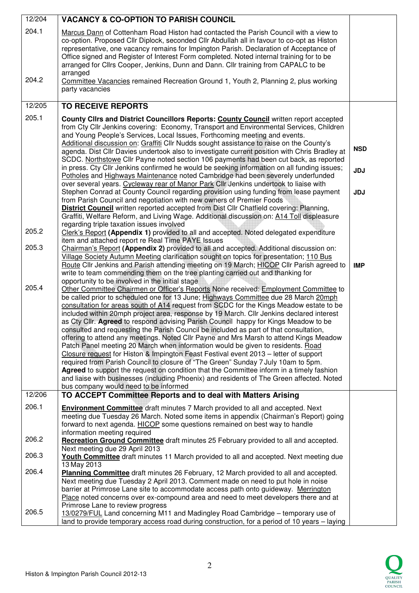| 12/204          | <b>VACANCY &amp; CO-OPTION TO PARISH COUNCIL</b>                                                                                                                                                                                                                                                                                                                                                                                                                                                                                                                                                                                                                                                                                                                                                                                                                                                                                                                                                                                                                                                                                                                                                  |            |
|-----------------|---------------------------------------------------------------------------------------------------------------------------------------------------------------------------------------------------------------------------------------------------------------------------------------------------------------------------------------------------------------------------------------------------------------------------------------------------------------------------------------------------------------------------------------------------------------------------------------------------------------------------------------------------------------------------------------------------------------------------------------------------------------------------------------------------------------------------------------------------------------------------------------------------------------------------------------------------------------------------------------------------------------------------------------------------------------------------------------------------------------------------------------------------------------------------------------------------|------------|
| 204.1           | Marcus Dann of Cottenham Road Histon had contacted the Parish Council with a view to<br>co-option. Proposed Cllr Diplock, seconded Cllr Abdullah all in favour to co-opt as Histon<br>representative, one vacancy remains for Impington Parish. Declaration of Acceptance of<br>Office signed and Register of Interest Form completed. Noted internal training for to be<br>arranged for Cllrs Cooper, Jenkins, Dunn and Dann. Cllr training from CAPALC to be<br>arranged                                                                                                                                                                                                                                                                                                                                                                                                                                                                                                                                                                                                                                                                                                                        |            |
| 204.2           | Committee Vacancies remained Recreation Ground 1, Youth 2, Planning 2, plus working<br>party vacancies                                                                                                                                                                                                                                                                                                                                                                                                                                                                                                                                                                                                                                                                                                                                                                                                                                                                                                                                                                                                                                                                                            |            |
| 12/205          | <b>TO RECEIVE REPORTS</b>                                                                                                                                                                                                                                                                                                                                                                                                                                                                                                                                                                                                                                                                                                                                                                                                                                                                                                                                                                                                                                                                                                                                                                         |            |
| 205.1           | County Clirs and District Councillors Reports: County Council written report accepted<br>from Cty Cllr Jenkins covering: Economy, Transport and Environmental Services, Children<br>and Young People's Services, Local Issues, Forthcoming meeting and events.<br>Additional discussion on: Graffiti Cllr Nudds sought assistance to raise on the County's                                                                                                                                                                                                                                                                                                                                                                                                                                                                                                                                                                                                                                                                                                                                                                                                                                        | <b>NSD</b> |
|                 | agenda. Dist Cllr Davies undertook also to investigate current position with Chris Bradley at<br>SCDC. Northstowe Cllr Payne noted section 106 payments had been cut back, as reported<br>in press. Cty Cllr Jenkins confirmed he would be seeking information on all funding issues;                                                                                                                                                                                                                                                                                                                                                                                                                                                                                                                                                                                                                                                                                                                                                                                                                                                                                                             |            |
|                 | Potholes and Highways Maintenance noted Cambridge had been severely underfunded<br>over several years. Cycleway rear of Manor Park Cllr Jenkins undertook to liaise with                                                                                                                                                                                                                                                                                                                                                                                                                                                                                                                                                                                                                                                                                                                                                                                                                                                                                                                                                                                                                          | <b>JDJ</b> |
|                 | Stephen Conrad at County Council regarding provision using funding from lease payment<br>from Parish Council and negotiation with new owners of Premier Foods<br>District Council written reported accepted from Dist Cllr Chatfield covering: Planning,<br>Graffiti, Welfare Reform, and Living Wage. Additional discussion on: A14 Toll displeasure<br>regarding triple taxation issues involved                                                                                                                                                                                                                                                                                                                                                                                                                                                                                                                                                                                                                                                                                                                                                                                                | <b>JDJ</b> |
| 205.2           | Clerk's Report (Appendix 1) provided to all and accepted. Noted delegated expenditure                                                                                                                                                                                                                                                                                                                                                                                                                                                                                                                                                                                                                                                                                                                                                                                                                                                                                                                                                                                                                                                                                                             |            |
| 205.3           | item and attached report re Real Time PAYE Issues<br>Chairman's Report (Appendix 2) provided to all and accepted. Additional discussion on:<br>Village Society Autumn Meeting clarification sought on topics for presentation; 110 Bus                                                                                                                                                                                                                                                                                                                                                                                                                                                                                                                                                                                                                                                                                                                                                                                                                                                                                                                                                            |            |
|                 | Route Cllr Jenkins and Parish attending meeting on 19 March; HICOP Cllr Parish agreed to<br>write to team commending them on the tree planting carried out and thanking for                                                                                                                                                                                                                                                                                                                                                                                                                                                                                                                                                                                                                                                                                                                                                                                                                                                                                                                                                                                                                       | <b>IMP</b> |
| 205.4<br>12/206 | opportunity to be involved in the initial stage<br>Other Committee Chairmen or Officer's Reports None received: Employment Committee to<br>be called prior to scheduled one for 13 June; Highways Committee due 28 March 20mph<br>consultation for areas south of A14 request from SCDC for the Kings Meadow estate to be<br>included within 20mph project area, response by 19 March. Cllr Jenkins declared interest<br>as Cty Cllr. Agreed to respond advising Parish Council happy for Kings Meadow to be<br>consulted and requesting the Parish Council be included as part of that consultation,<br>offering to attend any meetings. Noted Cllr Payne and Mrs Marsh to attend Kings Meadow<br>Patch Panel meeting 20 March when information would be given to residents. Road<br>Closure request for Histon & Impington Feast Festival event 2013 – letter of support<br>required from Parish Council to closure of "The Green" Sunday 7 July 10am to 5pm.<br>Agreed to support the request on condition that the Committee inform in a timely fashion<br>and liaise with businesses (including Phoenix) and residents of The Green affected. Noted<br>bus company would need to be informed |            |
|                 | TO ACCEPT Committee Reports and to deal with Matters Arising                                                                                                                                                                                                                                                                                                                                                                                                                                                                                                                                                                                                                                                                                                                                                                                                                                                                                                                                                                                                                                                                                                                                      |            |
| 206.1           | <b>Environment Committee</b> draft minutes 7 March provided to all and accepted. Next<br>meeting due Tuesday 26 March. Noted some items in appendix (Chairman's Report) going<br>forward to next agenda. HICOP some questions remained on best way to handle<br>information meeting required                                                                                                                                                                                                                                                                                                                                                                                                                                                                                                                                                                                                                                                                                                                                                                                                                                                                                                      |            |
| 206.2           | Recreation Ground Committee draft minutes 25 February provided to all and accepted.<br>Next meeting due 29 April 2013                                                                                                                                                                                                                                                                                                                                                                                                                                                                                                                                                                                                                                                                                                                                                                                                                                                                                                                                                                                                                                                                             |            |
| 206.3           | Youth Committee draft minutes 11 March provided to all and accepted. Next meeting due<br>13 May 2013                                                                                                                                                                                                                                                                                                                                                                                                                                                                                                                                                                                                                                                                                                                                                                                                                                                                                                                                                                                                                                                                                              |            |
| 206.4           | <b>Planning Committee</b> draft minutes 26 February, 12 March provided to all and accepted.<br>Next meeting due Tuesday 2 April 2013. Comment made on need to put hole in noise<br>barrier at Primrose Lane site to accommodate access path onto guideway. Merrington<br>Place noted concerns over ex-compound area and need to meet developers there and at                                                                                                                                                                                                                                                                                                                                                                                                                                                                                                                                                                                                                                                                                                                                                                                                                                      |            |
| 206.5           | Primrose Lane to review progress<br>13/0279/FUL Land concerning M11 and Madingley Road Cambridge - temporary use of<br>land to provide temporary access road during construction, for a period of 10 years – laying                                                                                                                                                                                                                                                                                                                                                                                                                                                                                                                                                                                                                                                                                                                                                                                                                                                                                                                                                                               |            |

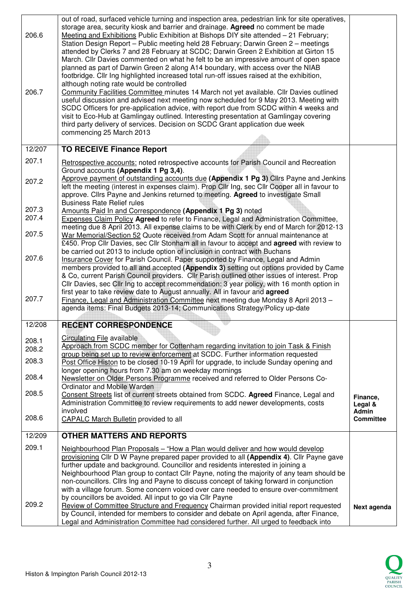| 206.6          | out of road, surfaced vehicle turning and inspection area, pedestrian link for site operatives,<br>storage area, security kiosk and barrier and drainage. Agreed no comment be made<br>Meeting and Exhibitions Public Exhibition at Bishops DIY site attended - 21 February;<br>Station Design Report - Public meeting held 28 February; Darwin Green 2 - meetings<br>attended by Clerks 7 and 28 February at SCDC; Darwin Green 2 Exhibition at Girton 15<br>March. Cllr Davies commented on what he felt to be an impressive amount of open space<br>planned as part of Darwin Green 2 along A14 boundary, with access over the NIAB |                           |
|----------------|----------------------------------------------------------------------------------------------------------------------------------------------------------------------------------------------------------------------------------------------------------------------------------------------------------------------------------------------------------------------------------------------------------------------------------------------------------------------------------------------------------------------------------------------------------------------------------------------------------------------------------------|---------------------------|
| 206.7          | footbridge. Cllr Ing highlighted increased total run-off issues raised at the exhibition,<br>although noting rate would be controlled<br>Community Facilities Committee minutes 14 March not yet available. Cllr Davies outlined<br>useful discussion and advised next meeting now scheduled for 9 May 2013. Meeting with<br>SCDC Officers for pre-application advice, with report due from SCDC within 4 weeks and<br>visit to Eco-Hub at Gamlingay outlined. Interesting presentation at Gamlingay covering<br>third party delivery of services. Decision on SCDC Grant application due week<br>commencing 25 March 2013             |                           |
| 12/207         | <b>TO RECEIVE Finance Report</b>                                                                                                                                                                                                                                                                                                                                                                                                                                                                                                                                                                                                       |                           |
| 207.1          | Retrospective accounts: noted retrospective accounts for Parish Council and Recreation                                                                                                                                                                                                                                                                                                                                                                                                                                                                                                                                                 |                           |
| 207.2          | Ground accounts (Appendix 1 Pg 3,4).<br>Approve payment of outstanding accounts due (Appendix 1 Pg 3) Cllrs Payne and Jenkins<br>left the meeting (interest in expenses claim). Prop Cllr Ing, sec Cllr Cooper all in favour to<br>approve. Clirs Payne and Jenkins returned to meeting. Agreed to investigate Small<br><b>Business Rate Relief rules</b>                                                                                                                                                                                                                                                                              |                           |
| 207.3<br>207.4 | Amounts Paid In and Correspondence (Appendix 1 Pg 3) noted<br><b>Expenses Claim Policy Agreed to refer to Finance, Legal and Administration Committee,</b>                                                                                                                                                                                                                                                                                                                                                                                                                                                                             |                           |
| 207.5          | meeting due 8 April 2013. All expense claims to be with Clerk by end of March for 2012-13<br>War Memorial/Section 52 Quote received from Adam Scott for annual maintenance at<br>£450. Prop Cllr Davies, sec Cllr Stonham all in favour to accept and agreed with review to                                                                                                                                                                                                                                                                                                                                                            |                           |
| 207.6          | be carried out 2013 to include option of inclusion in contract with Buchans<br>Insurance Cover for Parish Council. Paper supported by Finance, Legal and Admin<br>members provided to all and accepted (Appendix 3) setting out options provided by Came                                                                                                                                                                                                                                                                                                                                                                               |                           |
| 207.7          | & Co, current Parish Council providers. Cllr Parish outlined other issues of interest. Prop<br>Cllr Davies, sec Cllr Ing to accept recommendation: 3 year policy, with 16 month option in<br>first year to take review date to August annually. All in favour and agreed<br>Finance, Legal and Administration Committee next meeting due Monday 8 April 2013 -<br>agenda items: Final Budgets 2013-14; Communications Strategy/Policy up-date                                                                                                                                                                                          |                           |
| 12/208         | <b>RECENT CORRESPONDENCE</b>                                                                                                                                                                                                                                                                                                                                                                                                                                                                                                                                                                                                           |                           |
| 208.1<br>208.2 | Circulating File available<br>Approach from SCDC member for Cottenham regarding invitation to join Task & Finish                                                                                                                                                                                                                                                                                                                                                                                                                                                                                                                       |                           |
| 208.3          | group being set up to review enforcement at SCDC. Further information requested<br>Post Office Histon to be closed 10-19 April for upgrade, to include Sunday opening and<br>longer opening hours from 7.30 am on weekday mornings                                                                                                                                                                                                                                                                                                                                                                                                     |                           |
| 208.4          | Newsletter on Older Persons Programme received and referred to Older Persons Co-<br>Ordinator and Mobile Warden                                                                                                                                                                                                                                                                                                                                                                                                                                                                                                                        |                           |
| 208.5          | Consent Streets list of current streets obtained from SCDC. Agreed Finance, Legal and<br>Administration Committee to review requirements to add newer developments, costs                                                                                                                                                                                                                                                                                                                                                                                                                                                              | Finance,<br>Legal &       |
| 208.6          | involved<br><b>CAPALC March Bulletin provided to all</b>                                                                                                                                                                                                                                                                                                                                                                                                                                                                                                                                                                               | Admin<br><b>Committee</b> |
| 12/209         | <b>OTHER MATTERS AND REPORTS</b>                                                                                                                                                                                                                                                                                                                                                                                                                                                                                                                                                                                                       |                           |
| 209.1          | Neighbourhood Plan Proposals - "How a Plan would deliver and how would develop<br>provisioning Cllr D W Payne prepared paper provided to all (Appendix 4). Cllr Payne gave<br>further update and background. Councillor and residents interested in joining a<br>Neighbourhood Plan group to contact Cllr Payne, noting the majority of any team should be<br>non-councillors. Cllrs Ing and Payne to discuss concept of taking forward in conjunction<br>with a village forum. Some concern voiced over care needed to ensure over-commitment<br>by councillors be avoided. All input to go via Cllr Payne                            |                           |
| 209.2          | Review of Committee Structure and Frequency Chairman provided initial report requested<br>by Council, intended for members to consider and debate on April agenda, after Finance,<br>Legal and Administration Committee had considered further. All urged to feedback into                                                                                                                                                                                                                                                                                                                                                             | Next agenda               |